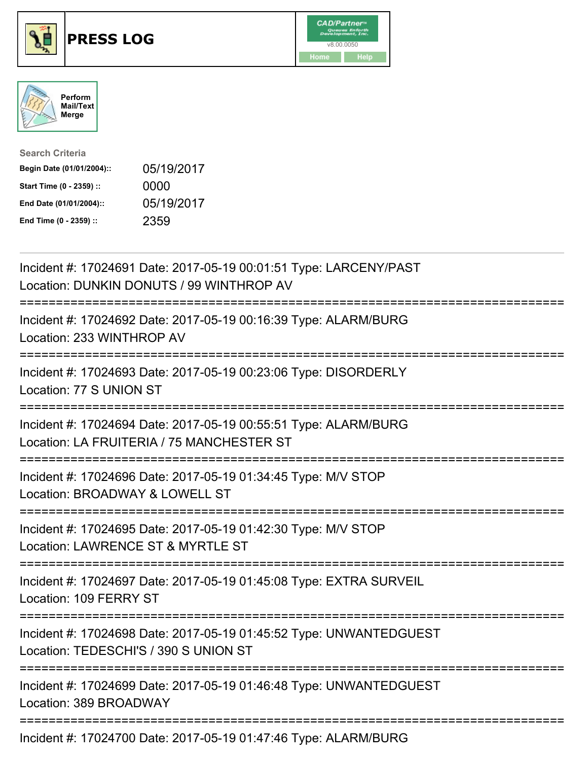





| <b>Search Criteria</b>    |            |
|---------------------------|------------|
| Begin Date (01/01/2004):: | 05/19/2017 |
| Start Time (0 - 2359) ::  | 0000       |
| End Date (01/01/2004)::   | 05/19/2017 |
| End Time (0 - 2359) ::    | 2359       |

| Incident #: 17024691 Date: 2017-05-19 00:01:51 Type: LARCENY/PAST<br>Location: DUNKIN DONUTS / 99 WINTHROP AV                           |
|-----------------------------------------------------------------------------------------------------------------------------------------|
| Incident #: 17024692 Date: 2017-05-19 00:16:39 Type: ALARM/BURG<br>Location: 233 WINTHROP AV                                            |
| Incident #: 17024693 Date: 2017-05-19 00:23:06 Type: DISORDERLY<br>Location: 77 S UNION ST<br>----------------                          |
| Incident #: 17024694 Date: 2017-05-19 00:55:51 Type: ALARM/BURG<br>Location: LA FRUITERIA / 75 MANCHESTER ST<br>----------------------- |
| Incident #: 17024696 Date: 2017-05-19 01:34:45 Type: M/V STOP<br>Location: BROADWAY & LOWELL ST<br>:=======================             |
| Incident #: 17024695 Date: 2017-05-19 01:42:30 Type: M/V STOP<br>Location: LAWRENCE ST & MYRTLE ST                                      |
| Incident #: 17024697 Date: 2017-05-19 01:45:08 Type: EXTRA SURVEIL<br>Location: 109 FERRY ST                                            |
| Incident #: 17024698 Date: 2017-05-19 01:45:52 Type: UNWANTEDGUEST<br>Location: TEDESCHI'S / 390 S UNION ST                             |
| Incident #: 17024699 Date: 2017-05-19 01:46:48 Type: UNWANTEDGUEST<br>Location: 389 BROADWAY                                            |
| Incident #: 17024700 Date: 2017-05-19 01:47:46 Type: ALARM/BURG                                                                         |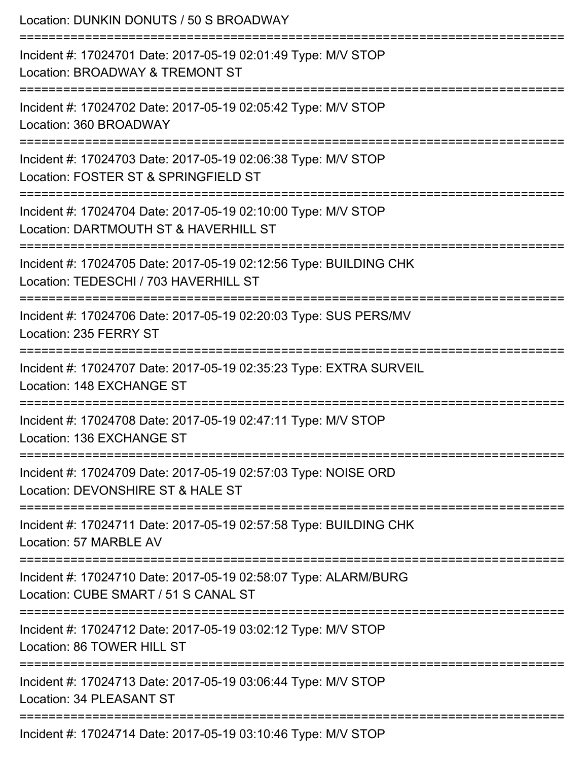| Location: DUNKIN DONUTS / 50 S BROADWAY                                                                                |
|------------------------------------------------------------------------------------------------------------------------|
| Incident #: 17024701 Date: 2017-05-19 02:01:49 Type: M/V STOP<br>Location: BROADWAY & TREMONT ST                       |
| Incident #: 17024702 Date: 2017-05-19 02:05:42 Type: M/V STOP<br>Location: 360 BROADWAY                                |
| Incident #: 17024703 Date: 2017-05-19 02:06:38 Type: M/V STOP<br>Location: FOSTER ST & SPRINGFIELD ST                  |
| Incident #: 17024704 Date: 2017-05-19 02:10:00 Type: M/V STOP<br>Location: DARTMOUTH ST & HAVERHILL ST                 |
| Incident #: 17024705 Date: 2017-05-19 02:12:56 Type: BUILDING CHK<br>Location: TEDESCHI / 703 HAVERHILL ST             |
| ========================<br>Incident #: 17024706 Date: 2017-05-19 02:20:03 Type: SUS PERS/MV<br>Location: 235 FERRY ST |
| Incident #: 17024707 Date: 2017-05-19 02:35:23 Type: EXTRA SURVEIL<br>Location: 148 EXCHANGE ST                        |
| Incident #: 17024708 Date: 2017-05-19 02:47:11 Type: M/V STOP<br>Location: 136 EXCHANGE ST                             |
| Incident #: 17024709 Date: 2017-05-19 02:57:03 Type: NOISE ORD<br>Location: DEVONSHIRE ST & HALE ST                    |
| Incident #: 17024711 Date: 2017-05-19 02:57:58 Type: BUILDING CHK<br>Location: 57 MARBLE AV                            |
| Incident #: 17024710 Date: 2017-05-19 02:58:07 Type: ALARM/BURG<br>Location: CUBE SMART / 51 S CANAL ST                |
| Incident #: 17024712 Date: 2017-05-19 03:02:12 Type: M/V STOP<br>Location: 86 TOWER HILL ST                            |
| Incident #: 17024713 Date: 2017-05-19 03:06:44 Type: M/V STOP<br>Location: 34 PLEASANT ST                              |
| :==============<br>Incident #: 17024714 Date: 2017-05-19 03:10:46 Type: M/V STOP                                       |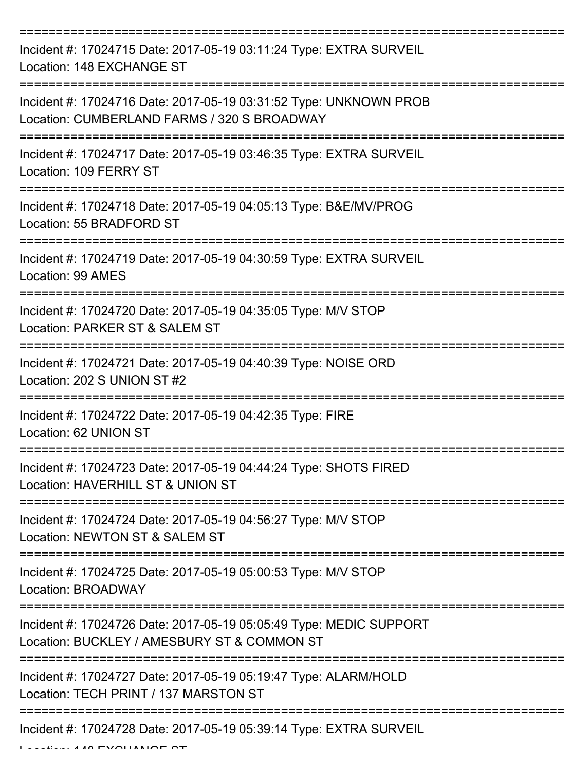| Incident #: 17024715 Date: 2017-05-19 03:11:24 Type: EXTRA SURVEIL<br>Location: 148 EXCHANGE ST                   |
|-------------------------------------------------------------------------------------------------------------------|
| Incident #: 17024716 Date: 2017-05-19 03:31:52 Type: UNKNOWN PROB<br>Location: CUMBERLAND FARMS / 320 S BROADWAY  |
| Incident #: 17024717 Date: 2017-05-19 03:46:35 Type: EXTRA SURVEIL<br>Location: 109 FERRY ST                      |
| Incident #: 17024718 Date: 2017-05-19 04:05:13 Type: B&E/MV/PROG<br>Location: 55 BRADFORD ST                      |
| Incident #: 17024719 Date: 2017-05-19 04:30:59 Type: EXTRA SURVEIL<br>Location: 99 AMES                           |
| Incident #: 17024720 Date: 2017-05-19 04:35:05 Type: M/V STOP<br>Location: PARKER ST & SALEM ST                   |
| Incident #: 17024721 Date: 2017-05-19 04:40:39 Type: NOISE ORD<br>Location: 202 S UNION ST #2                     |
| Incident #: 17024722 Date: 2017-05-19 04:42:35 Type: FIRE<br>Location: 62 UNION ST                                |
| Incident #: 17024723 Date: 2017-05-19 04:44:24 Type: SHOTS FIRED<br>Location: HAVERHILL ST & UNION ST             |
| Incident #: 17024724 Date: 2017-05-19 04:56:27 Type: M/V STOP<br>Location: NEWTON ST & SALEM ST                   |
| Incident #: 17024725 Date: 2017-05-19 05:00:53 Type: M/V STOP<br>Location: BROADWAY                               |
| Incident #: 17024726 Date: 2017-05-19 05:05:49 Type: MEDIC SUPPORT<br>Location: BUCKLEY / AMESBURY ST & COMMON ST |
| Incident #: 17024727 Date: 2017-05-19 05:19:47 Type: ALARM/HOLD<br>Location: TECH PRINT / 137 MARSTON ST          |
| Incident #: 17024728 Date: 2017-05-19 05:39:14 Type: EXTRA SURVEIL                                                |

Location: 148 EXCHANGE ST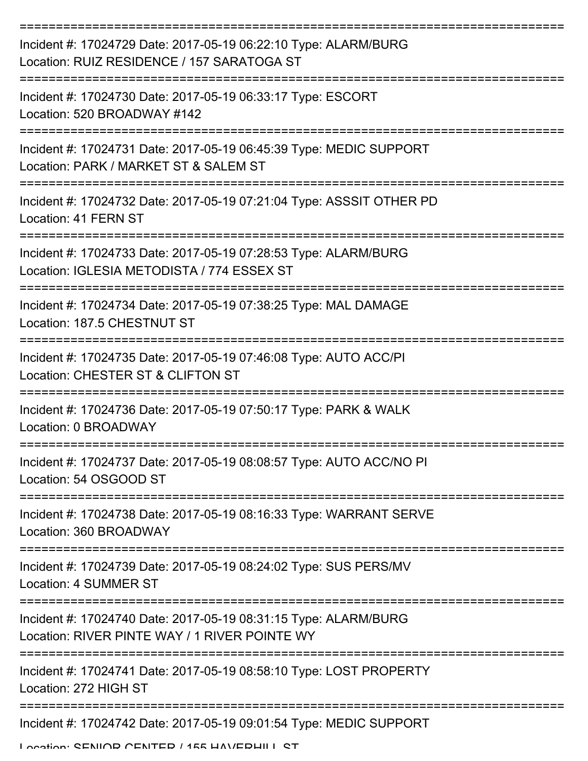| Incident #: 17024729 Date: 2017-05-19 06:22:10 Type: ALARM/BURG<br>Location: RUIZ RESIDENCE / 157 SARATOGA ST       |
|---------------------------------------------------------------------------------------------------------------------|
| Incident #: 17024730 Date: 2017-05-19 06:33:17 Type: ESCORT<br>Location: 520 BROADWAY #142                          |
| Incident #: 17024731 Date: 2017-05-19 06:45:39 Type: MEDIC SUPPORT<br>Location: PARK / MARKET ST & SALEM ST         |
| Incident #: 17024732 Date: 2017-05-19 07:21:04 Type: ASSSIT OTHER PD<br>Location: 41 FERN ST                        |
| Incident #: 17024733 Date: 2017-05-19 07:28:53 Type: ALARM/BURG<br>Location: IGLESIA METODISTA / 774 ESSEX ST       |
| Incident #: 17024734 Date: 2017-05-19 07:38:25 Type: MAL DAMAGE<br>Location: 187.5 CHESTNUT ST                      |
| Incident #: 17024735 Date: 2017-05-19 07:46:08 Type: AUTO ACC/PI<br>Location: CHESTER ST & CLIFTON ST               |
| Incident #: 17024736 Date: 2017-05-19 07:50:17 Type: PARK & WALK<br>Location: 0 BROADWAY                            |
| Incident #: 17024737 Date: 2017-05-19 08:08:57 Type: AUTO ACC/NO PI<br>Location: 54 OSGOOD ST                       |
| Incident #: 17024738 Date: 2017-05-19 08:16:33 Type: WARRANT SERVE<br>Location: 360 BROADWAY                        |
| Incident #: 17024739 Date: 2017-05-19 08:24:02 Type: SUS PERS/MV<br>Location: 4 SUMMER ST                           |
| Incident #: 17024740 Date: 2017-05-19 08:31:15 Type: ALARM/BURG<br>Location: RIVER PINTE WAY / 1 RIVER POINTE WY    |
| Incident #: 17024741 Date: 2017-05-19 08:58:10 Type: LOST PROPERTY<br>Location: 272 HIGH ST                         |
| Incident #: 17024742 Date: 2017-05-19 09:01:54 Type: MEDIC SUPPORT<br>Location: CENIIOD CENTED / 155 UAV/EDUII I CT |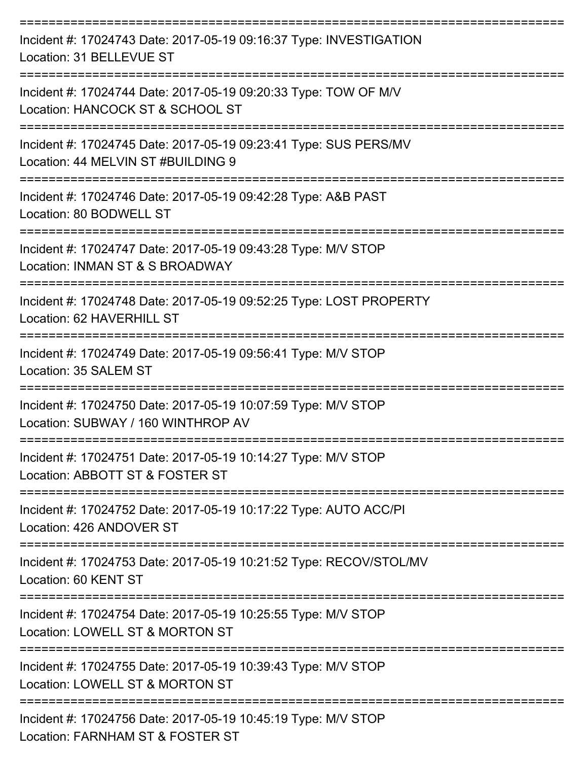| Incident #: 17024743 Date: 2017-05-19 09:16:37 Type: INVESTIGATION<br>Location: 31 BELLEVUE ST                           |
|--------------------------------------------------------------------------------------------------------------------------|
| Incident #: 17024744 Date: 2017-05-19 09:20:33 Type: TOW OF M/V<br>Location: HANCOCK ST & SCHOOL ST                      |
| Incident #: 17024745 Date: 2017-05-19 09:23:41 Type: SUS PERS/MV<br>Location: 44 MELVIN ST #BUILDING 9<br>-------------- |
| Incident #: 17024746 Date: 2017-05-19 09:42:28 Type: A&B PAST<br>Location: 80 BODWELL ST                                 |
| ===================<br>Incident #: 17024747 Date: 2017-05-19 09:43:28 Type: M/V STOP<br>Location: INMAN ST & S BROADWAY  |
| Incident #: 17024748 Date: 2017-05-19 09:52:25 Type: LOST PROPERTY<br>Location: 62 HAVERHILL ST                          |
| Incident #: 17024749 Date: 2017-05-19 09:56:41 Type: M/V STOP<br>Location: 35 SALEM ST                                   |
| Incident #: 17024750 Date: 2017-05-19 10:07:59 Type: M/V STOP<br>Location: SUBWAY / 160 WINTHROP AV                      |
| Incident #: 17024751 Date: 2017-05-19 10:14:27 Type: M/V STOP<br>Location: ABBOTT ST & FOSTER ST                         |
| Incident #: 17024752 Date: 2017-05-19 10:17:22 Type: AUTO ACC/PI<br>Location: 426 ANDOVER ST                             |
| Incident #: 17024753 Date: 2017-05-19 10:21:52 Type: RECOV/STOL/MV<br>Location: 60 KENT ST                               |
| Incident #: 17024754 Date: 2017-05-19 10:25:55 Type: M/V STOP<br>Location: LOWELL ST & MORTON ST                         |
| Incident #: 17024755 Date: 2017-05-19 10:39:43 Type: M/V STOP<br>Location: LOWELL ST & MORTON ST                         |
| Incident #: 17024756 Date: 2017-05-19 10:45:19 Type: M/V STOP<br>Location: FARNHAM ST & FOSTER ST                        |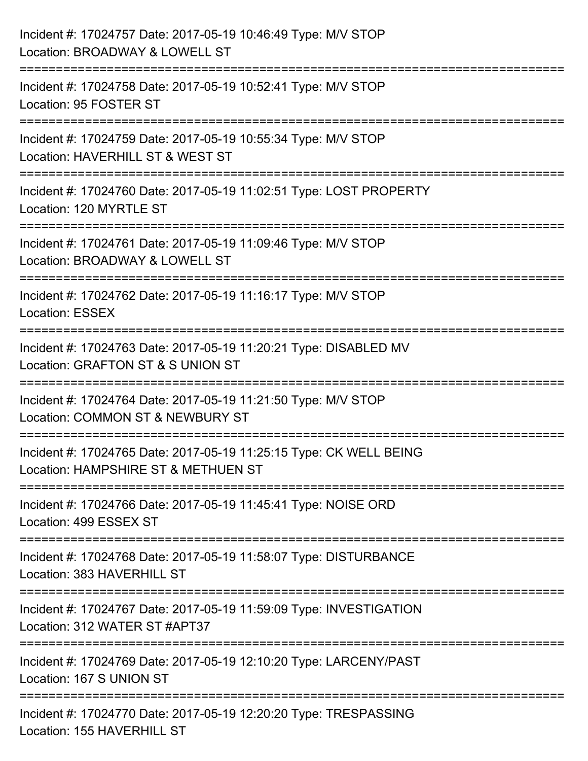| Incident #: 17024757 Date: 2017-05-19 10:46:49 Type: M/V STOP<br>Location: BROADWAY & LOWELL ST                                       |
|---------------------------------------------------------------------------------------------------------------------------------------|
| ====================<br>Incident #: 17024758 Date: 2017-05-19 10:52:41 Type: M/V STOP<br>Location: 95 FOSTER ST                       |
| Incident #: 17024759 Date: 2017-05-19 10:55:34 Type: M/V STOP<br>Location: HAVERHILL ST & WEST ST                                     |
| Incident #: 17024760 Date: 2017-05-19 11:02:51 Type: LOST PROPERTY<br>Location: 120 MYRTLE ST<br>------------------------------------ |
| Incident #: 17024761 Date: 2017-05-19 11:09:46 Type: M/V STOP<br>Location: BROADWAY & LOWELL ST                                       |
| Incident #: 17024762 Date: 2017-05-19 11:16:17 Type: M/V STOP<br><b>Location: ESSEX</b>                                               |
| Incident #: 17024763 Date: 2017-05-19 11:20:21 Type: DISABLED MV<br>Location: GRAFTON ST & S UNION ST                                 |
| Incident #: 17024764 Date: 2017-05-19 11:21:50 Type: M/V STOP<br>Location: COMMON ST & NEWBURY ST                                     |
| Incident #: 17024765 Date: 2017-05-19 11:25:15 Type: CK WELL BEING<br>Location: HAMPSHIRE ST & METHUEN ST                             |
| Incident #: 17024766 Date: 2017-05-19 11:45:41 Type: NOISE ORD<br>Location: 499 ESSEX ST                                              |
| Incident #: 17024768 Date: 2017-05-19 11:58:07 Type: DISTURBANCE<br>Location: 383 HAVERHILL ST                                        |
| Incident #: 17024767 Date: 2017-05-19 11:59:09 Type: INVESTIGATION<br>Location: 312 WATER ST #APT37                                   |
| Incident #: 17024769 Date: 2017-05-19 12:10:20 Type: LARCENY/PAST<br>Location: 167 S UNION ST                                         |
| Incident #: 17024770 Date: 2017-05-19 12:20:20 Type: TRESPASSING<br>Location: 155 HAVERHILL ST                                        |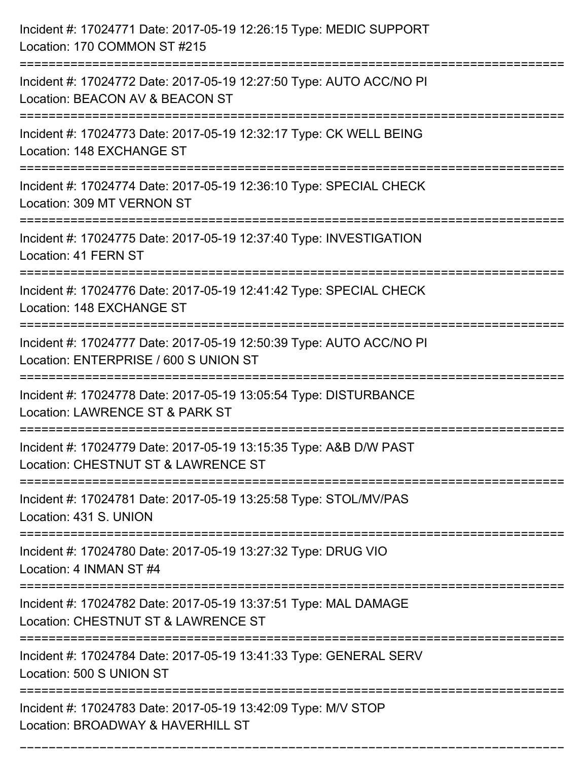| Incident #: 17024771 Date: 2017-05-19 12:26:15 Type: MEDIC SUPPORT<br>Location: 170 COMMON ST #215                                  |
|-------------------------------------------------------------------------------------------------------------------------------------|
| Incident #: 17024772 Date: 2017-05-19 12:27:50 Type: AUTO ACC/NO PI<br>Location: BEACON AV & BEACON ST                              |
| Incident #: 17024773 Date: 2017-05-19 12:32:17 Type: CK WELL BEING<br>Location: 148 EXCHANGE ST                                     |
| Incident #: 17024774 Date: 2017-05-19 12:36:10 Type: SPECIAL CHECK<br>Location: 309 MT VERNON ST                                    |
| Incident #: 17024775 Date: 2017-05-19 12:37:40 Type: INVESTIGATION<br>Location: 41 FERN ST                                          |
| Incident #: 17024776 Date: 2017-05-19 12:41:42 Type: SPECIAL CHECK<br>Location: 148 EXCHANGE ST                                     |
| Incident #: 17024777 Date: 2017-05-19 12:50:39 Type: AUTO ACC/NO PI<br>Location: ENTERPRISE / 600 S UNION ST<br>------------------- |
| Incident #: 17024778 Date: 2017-05-19 13:05:54 Type: DISTURBANCE<br>Location: LAWRENCE ST & PARK ST                                 |
| Incident #: 17024779 Date: 2017-05-19 13:15:35 Type: A&B D/W PAST<br>Location: CHESTNUT ST & LAWRENCE ST                            |
| Incident #: 17024781 Date: 2017-05-19 13:25:58 Type: STOL/MV/PAS<br>Location: 431 S. UNION                                          |
| Incident #: 17024780 Date: 2017-05-19 13:27:32 Type: DRUG VIO<br>Location: 4 INMAN ST #4                                            |
| Incident #: 17024782 Date: 2017-05-19 13:37:51 Type: MAL DAMAGE<br>Location: CHESTNUT ST & LAWRENCE ST                              |
| Incident #: 17024784 Date: 2017-05-19 13:41:33 Type: GENERAL SERV<br>Location: 500 S UNION ST                                       |
| Incident #: 17024783 Date: 2017-05-19 13:42:09 Type: M/V STOP<br>Location: BROADWAY & HAVERHILL ST                                  |

===========================================================================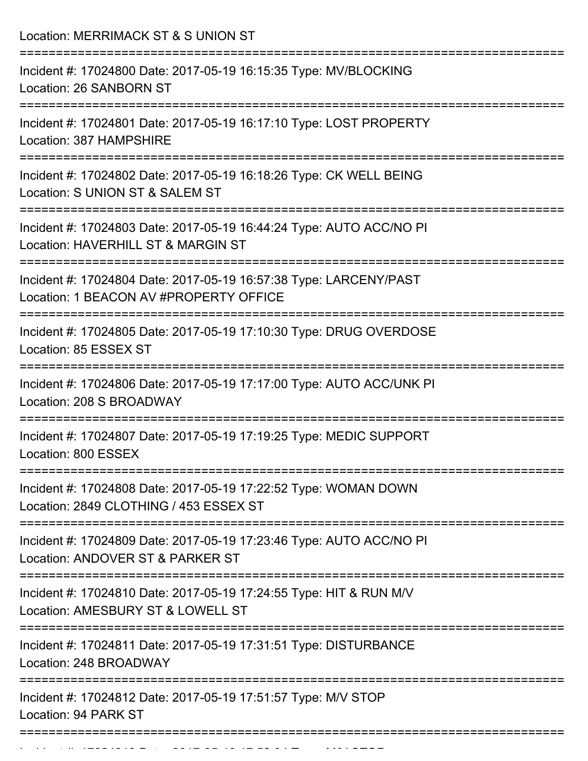Location: MERRIMACK ST & S UNION ST =========================================================================== Incident #: 17024800 Date: 2017-05-19 16:15:35 Type: MV/BLOCKING Location: 26 SANBORN ST =========================================================================== Incident #: 17024801 Date: 2017-05-19 16:17:10 Type: LOST PROPERTY Location: 387 HAMPSHIRE =========================================================================== Incident #: 17024802 Date: 2017-05-19 16:18:26 Type: CK WELL BEING Location: S UNION ST & SALEM ST =========================================================================== Incident #: 17024803 Date: 2017-05-19 16:44:24 Type: AUTO ACC/NO PI Location: HAVERHILL ST & MARGIN ST =========================================================================== Incident #: 17024804 Date: 2017-05-19 16:57:38 Type: LARCENY/PAST Location: 1 BEACON AV #PROPERTY OFFICE =========================================================================== Incident #: 17024805 Date: 2017-05-19 17:10:30 Type: DRUG OVERDOSE Location: 85 ESSEX ST =========================================================================== Incident #: 17024806 Date: 2017-05-19 17:17:00 Type: AUTO ACC/UNK PI Location: 208 S BROADWAY =========================================================================== Incident #: 17024807 Date: 2017-05-19 17:19:25 Type: MEDIC SUPPORT Location: 800 ESSEX =========================================================================== Incident #: 17024808 Date: 2017-05-19 17:22:52 Type: WOMAN DOWN Location: 2849 CLOTHING / 453 ESSEX ST =========================================================================== Incident #: 17024809 Date: 2017-05-19 17:23:46 Type: AUTO ACC/NO PI Location: ANDOVER ST & PARKER ST =========================================================================== Incident #: 17024810 Date: 2017-05-19 17:24:55 Type: HIT & RUN M/V Location: AMESBURY ST & LOWELL ST =========================================================================== Incident #: 17024811 Date: 2017-05-19 17:31:51 Type: DISTURBANCE Location: 248 BROADWAY =========================================================================== Incident #: 17024812 Date: 2017-05-19 17:51:57 Type: M/V STOP Location: 94 PARK ST ===========================================================================

Incident #: 17024813 Date: 2017 05 17024813 Date: 2017 05 1704<br>.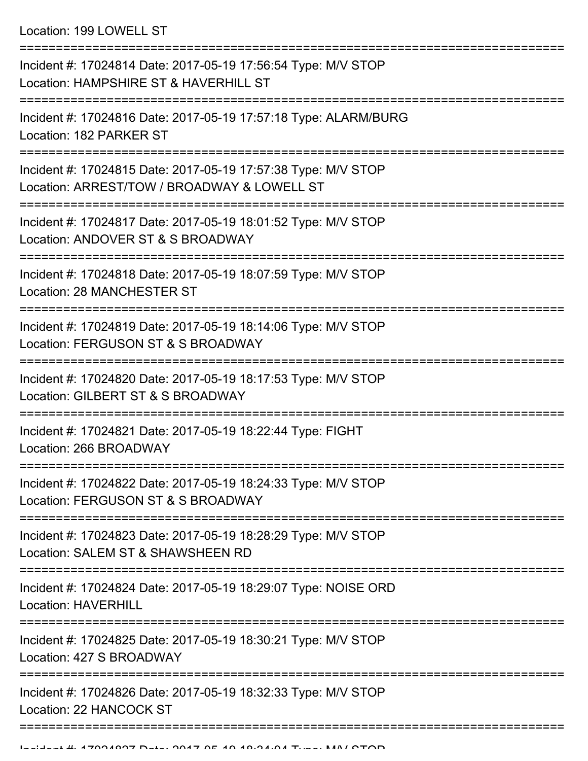Location: 199 LOWELL ST

| Incident #: 17024814 Date: 2017-05-19 17:56:54 Type: M/V STOP<br>Location: HAMPSHIRE ST & HAVERHILL ST          |
|-----------------------------------------------------------------------------------------------------------------|
| Incident #: 17024816 Date: 2017-05-19 17:57:18 Type: ALARM/BURG<br>Location: 182 PARKER ST<br>================= |
| Incident #: 17024815 Date: 2017-05-19 17:57:38 Type: M/V STOP<br>Location: ARREST/TOW / BROADWAY & LOWELL ST    |
| Incident #: 17024817 Date: 2017-05-19 18:01:52 Type: M/V STOP<br>Location: ANDOVER ST & S BROADWAY              |
| Incident #: 17024818 Date: 2017-05-19 18:07:59 Type: M/V STOP<br>Location: 28 MANCHESTER ST                     |
| Incident #: 17024819 Date: 2017-05-19 18:14:06 Type: M/V STOP<br>Location: FERGUSON ST & S BROADWAY             |
| Incident #: 17024820 Date: 2017-05-19 18:17:53 Type: M/V STOP<br>Location: GILBERT ST & S BROADWAY              |
| Incident #: 17024821 Date: 2017-05-19 18:22:44 Type: FIGHT<br>Location: 266 BROADWAY                            |
| Incident #: 17024822 Date: 2017-05-19 18:24:33 Type: M/V STOP<br>Location: FERGUSON ST & S BROADWAY             |
| Incident #: 17024823 Date: 2017-05-19 18:28:29 Type: M/V STOP<br>Location: SALEM ST & SHAWSHEEN RD              |
| Incident #: 17024824 Date: 2017-05-19 18:29:07 Type: NOISE ORD<br><b>Location: HAVERHILL</b>                    |
| Incident #: 17024825 Date: 2017-05-19 18:30:21 Type: M/V STOP<br>Location: 427 S BROADWAY                       |
| Incident #: 17024826 Date: 2017-05-19 18:32:33 Type: M/V STOP<br>Location: 22 HANCOCK ST                        |
|                                                                                                                 |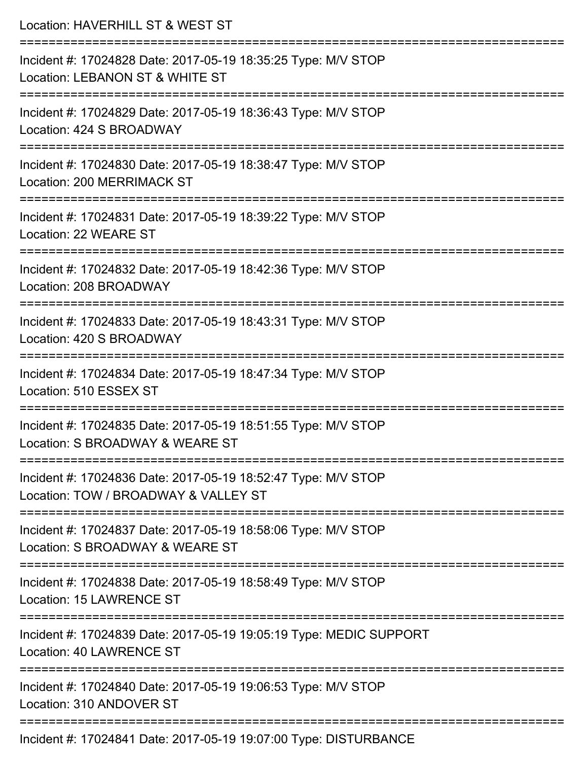| Location: HAVERHILL ST & WEST ST                                                                                          |
|---------------------------------------------------------------------------------------------------------------------------|
| Incident #: 17024828 Date: 2017-05-19 18:35:25 Type: M/V STOP<br>Location: LEBANON ST & WHITE ST<br>===================== |
| Incident #: 17024829 Date: 2017-05-19 18:36:43 Type: M/V STOP<br>Location: 424 S BROADWAY                                 |
| Incident #: 17024830 Date: 2017-05-19 18:38:47 Type: M/V STOP<br>Location: 200 MERRIMACK ST                               |
| Incident #: 17024831 Date: 2017-05-19 18:39:22 Type: M/V STOP<br>Location: 22 WEARE ST                                    |
| Incident #: 17024832 Date: 2017-05-19 18:42:36 Type: M/V STOP<br>Location: 208 BROADWAY                                   |
| Incident #: 17024833 Date: 2017-05-19 18:43:31 Type: M/V STOP<br>Location: 420 S BROADWAY                                 |
| Incident #: 17024834 Date: 2017-05-19 18:47:34 Type: M/V STOP<br>Location: 510 ESSEX ST                                   |
| Incident #: 17024835 Date: 2017-05-19 18:51:55 Type: M/V STOP<br>Location: S BROADWAY & WEARE ST                          |
| Incident #: 17024836 Date: 2017-05-19 18:52:47 Type: M/V STOP<br>Location: TOW / BROADWAY & VALLEY ST                     |
| Incident #: 17024837 Date: 2017-05-19 18:58:06 Type: M/V STOP<br>Location: S BROADWAY & WEARE ST                          |
| Incident #: 17024838 Date: 2017-05-19 18:58:49 Type: M/V STOP<br>Location: 15 LAWRENCE ST                                 |
| Incident #: 17024839 Date: 2017-05-19 19:05:19 Type: MEDIC SUPPORT<br><b>Location: 40 LAWRENCE ST</b>                     |
| Incident #: 17024840 Date: 2017-05-19 19:06:53 Type: M/V STOP<br>Location: 310 ANDOVER ST                                 |
| Incident #: 17024841 Date: 2017-05-19 19:07:00 Type: DISTURBANCE                                                          |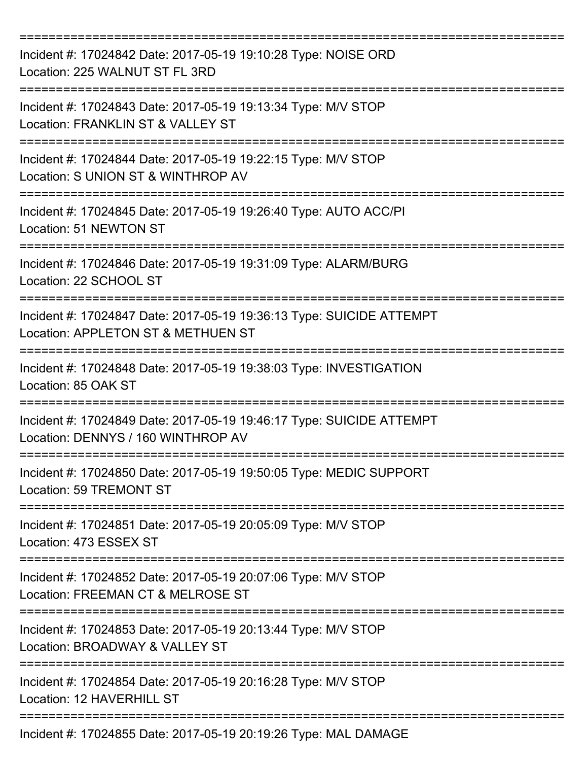| Incident #: 17024842 Date: 2017-05-19 19:10:28 Type: NOISE ORD<br>Location: 225 WALNUT ST FL 3RD           |
|------------------------------------------------------------------------------------------------------------|
| Incident #: 17024843 Date: 2017-05-19 19:13:34 Type: M/V STOP<br>Location: FRANKLIN ST & VALLEY ST         |
| Incident #: 17024844 Date: 2017-05-19 19:22:15 Type: M/V STOP<br>Location: S UNION ST & WINTHROP AV        |
| Incident #: 17024845 Date: 2017-05-19 19:26:40 Type: AUTO ACC/PI<br>Location: 51 NEWTON ST                 |
| Incident #: 17024846 Date: 2017-05-19 19:31:09 Type: ALARM/BURG<br>Location: 22 SCHOOL ST                  |
| Incident #: 17024847 Date: 2017-05-19 19:36:13 Type: SUICIDE ATTEMPT<br>Location: APPLETON ST & METHUEN ST |
| Incident #: 17024848 Date: 2017-05-19 19:38:03 Type: INVESTIGATION<br>Location: 85 OAK ST                  |
| Incident #: 17024849 Date: 2017-05-19 19:46:17 Type: SUICIDE ATTEMPT<br>Location: DENNYS / 160 WINTHROP AV |
| Incident #: 17024850 Date: 2017-05-19 19:50:05 Type: MEDIC SUPPORT<br>Location: 59 TREMONT ST              |
| Incident #: 17024851 Date: 2017-05-19 20:05:09 Type: M/V STOP<br>Location: 473 ESSEX ST                    |
| Incident #: 17024852 Date: 2017-05-19 20:07:06 Type: M/V STOP<br>Location: FREEMAN CT & MELROSE ST         |
| Incident #: 17024853 Date: 2017-05-19 20:13:44 Type: M/V STOP<br>Location: BROADWAY & VALLEY ST            |
| Incident #: 17024854 Date: 2017-05-19 20:16:28 Type: M/V STOP<br>Location: 12 HAVERHILL ST                 |
| Incident #: 17024855 Date: 2017-05-19 20:19:26 Type: MAL DAMAGE                                            |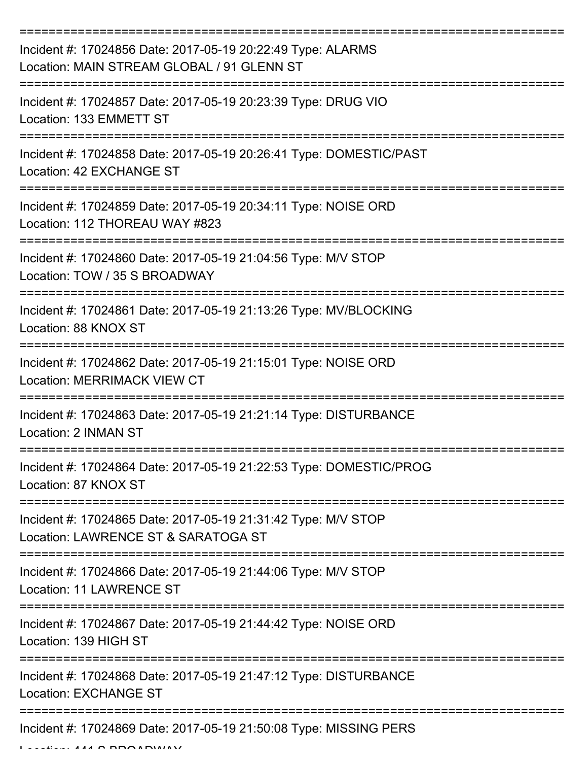| Incident #: 17024856 Date: 2017-05-19 20:22:49 Type: ALARMS<br>Location: MAIN STREAM GLOBAL / 91 GLENN ST                  |
|----------------------------------------------------------------------------------------------------------------------------|
| Incident #: 17024857 Date: 2017-05-19 20:23:39 Type: DRUG VIO<br>Location: 133 EMMETT ST                                   |
| Incident #: 17024858 Date: 2017-05-19 20:26:41 Type: DOMESTIC/PAST<br>Location: 42 EXCHANGE ST                             |
| Incident #: 17024859 Date: 2017-05-19 20:34:11 Type: NOISE ORD<br>Location: 112 THOREAU WAY #823                           |
| Incident #: 17024860 Date: 2017-05-19 21:04:56 Type: M/V STOP<br>Location: TOW / 35 S BROADWAY                             |
| Incident #: 17024861 Date: 2017-05-19 21:13:26 Type: MV/BLOCKING<br>Location: 88 KNOX ST                                   |
| Incident #: 17024862 Date: 2017-05-19 21:15:01 Type: NOISE ORD<br><b>Location: MERRIMACK VIEW CT</b>                       |
| Incident #: 17024863 Date: 2017-05-19 21:21:14 Type: DISTURBANCE<br>Location: 2 INMAN ST                                   |
| Incident #: 17024864 Date: 2017-05-19 21:22:53 Type: DOMESTIC/PROG<br>Location: 87 KNOX ST                                 |
| ==================<br>Incident #: 17024865 Date: 2017-05-19 21:31:42 Type: M/V STOP<br>Location: LAWRENCE ST & SARATOGA ST |
| Incident #: 17024866 Date: 2017-05-19 21:44:06 Type: M/V STOP<br>Location: 11 LAWRENCE ST                                  |
| Incident #: 17024867 Date: 2017-05-19 21:44:42 Type: NOISE ORD<br>Location: 139 HIGH ST                                    |
| Incident #: 17024868 Date: 2017-05-19 21:47:12 Type: DISTURBANCE<br><b>Location: EXCHANGE ST</b>                           |
| Incident #: 17024869 Date: 2017-05-19 21:50:08 Type: MISSING PERS                                                          |

 $L = L L L L L$  444 S BROADWAY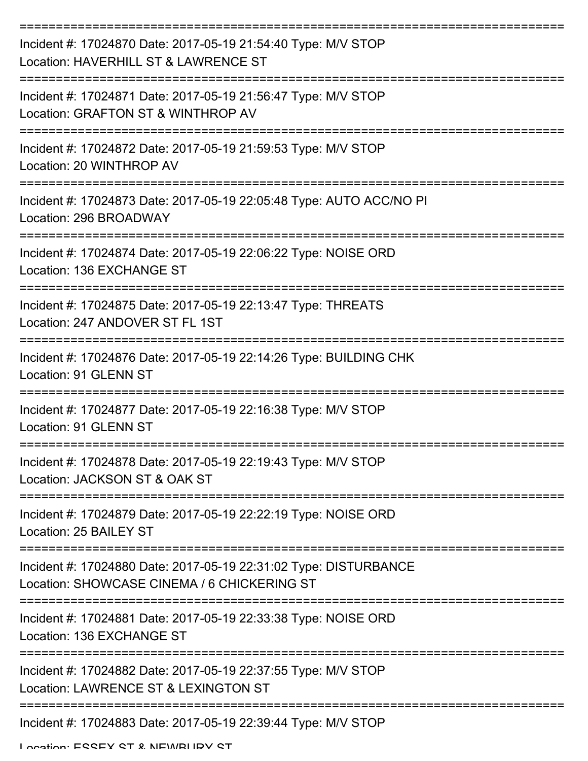| Incident #: 17024870 Date: 2017-05-19 21:54:40 Type: M/V STOP<br>Location: HAVERHILL ST & LAWRENCE ST           |
|-----------------------------------------------------------------------------------------------------------------|
| Incident #: 17024871 Date: 2017-05-19 21:56:47 Type: M/V STOP<br>Location: GRAFTON ST & WINTHROP AV             |
| Incident #: 17024872 Date: 2017-05-19 21:59:53 Type: M/V STOP<br>Location: 20 WINTHROP AV                       |
| Incident #: 17024873 Date: 2017-05-19 22:05:48 Type: AUTO ACC/NO PI<br>Location: 296 BROADWAY                   |
| Incident #: 17024874 Date: 2017-05-19 22:06:22 Type: NOISE ORD<br>Location: 136 EXCHANGE ST                     |
| Incident #: 17024875 Date: 2017-05-19 22:13:47 Type: THREATS<br>Location: 247 ANDOVER ST FL 1ST                 |
| Incident #: 17024876 Date: 2017-05-19 22:14:26 Type: BUILDING CHK<br>Location: 91 GLENN ST                      |
| Incident #: 17024877 Date: 2017-05-19 22:16:38 Type: M/V STOP<br>Location: 91 GLENN ST                          |
| Incident #: 17024878 Date: 2017-05-19 22:19:43 Type: M/V STOP<br>Location: JACKSON ST & OAK ST                  |
| Incident #: 17024879 Date: 2017-05-19 22:22:19 Type: NOISE ORD<br>Location: 25 BAILEY ST                        |
| Incident #: 17024880 Date: 2017-05-19 22:31:02 Type: DISTURBANCE<br>Location: SHOWCASE CINEMA / 6 CHICKERING ST |
| Incident #: 17024881 Date: 2017-05-19 22:33:38 Type: NOISE ORD<br>Location: 136 EXCHANGE ST                     |
| Incident #: 17024882 Date: 2017-05-19 22:37:55 Type: M/V STOP<br>Location: LAWRENCE ST & LEXINGTON ST           |
| Incident #: 17024883 Date: 2017-05-19 22:39:44 Type: M/V STOP                                                   |

Location: ESSEX ST & NEWBURY ST